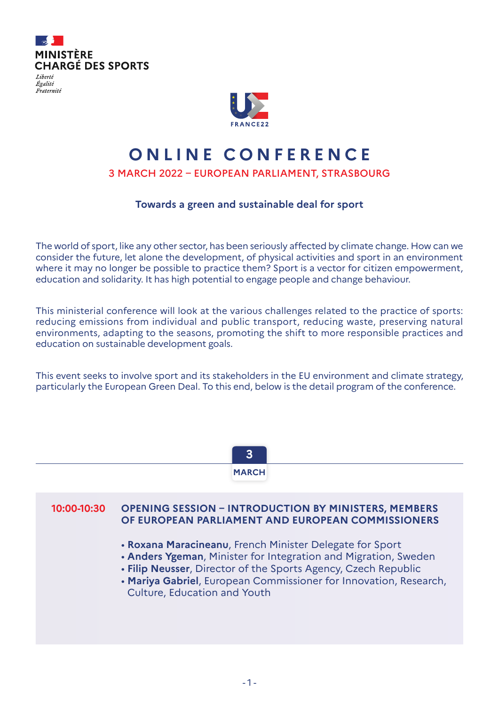

Égalité Eraternité



# **ONLINE CONFERENCE**

# 3 MARCH 2022 – EUROPEAN PARLIAMENT, STRASBOURG

# **Towards a green and sustainable deal for sport**

The world of sport, like any other sector, has been seriously affected by climate change. How can we consider the future, let alone the development, of physical activities and sport in an environment where it may no longer be possible to practice them? Sport is a vector for citizen empowerment, education and solidarity. It has high potential to engage people and change behaviour.

This ministerial conference will look at the various challenges related to the practice of sports: reducing emissions from individual and public transport, reducing waste, preserving natural environments, adapting to the seasons, promoting the shift to more responsible practices and education on sustainable development goals.

This event seeks to involve sport and its stakeholders in the EU environment and climate strategy, particularly the European Green Deal. To this end, below is the detail program of the conference.

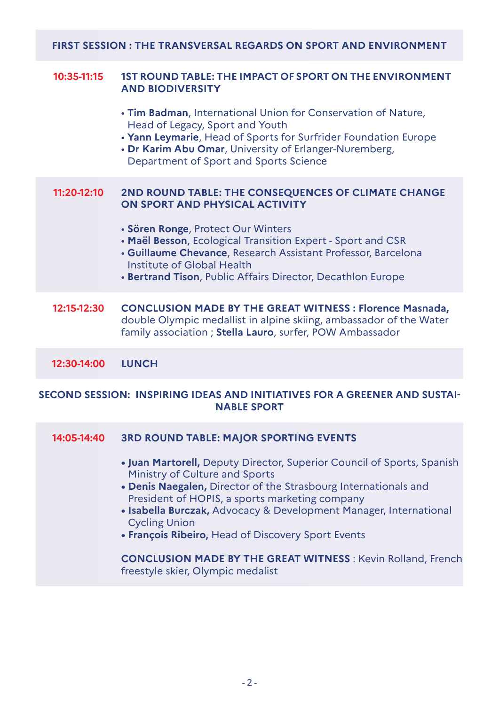## **FIRST SESSION : THE TRANSVERSAL REGARDS ON SPORT AND ENVIRONMENT**

# **10:35-11:15 1ST ROUND TABLE: THE IMPACT OF SPORT ON THE ENVIRONMENT AND BIODIVERSITY**

|                                                                                                 | . Tim Badman, International Union for Conservation of Nature,<br>Head of Legacy, Sport and Youth<br>• Yann Leymarie, Head of Sports for Surfrider Foundation Europe<br>• Dr Karim Abu Omar, University of Erlanger-Nuremberg,<br>Department of Sport and Sports Science                                                                                  |
|-------------------------------------------------------------------------------------------------|----------------------------------------------------------------------------------------------------------------------------------------------------------------------------------------------------------------------------------------------------------------------------------------------------------------------------------------------------------|
| 11:20-12:10                                                                                     | 2ND ROUND TABLE: THE CONSEQUENCES OF CLIMATE CHANGE<br>ON SPORT AND PHYSICAL ACTIVITY<br>· Sören Ronge, Protect Our Winters<br>• Maël Besson, Ecological Transition Expert - Sport and CSR<br>• Guillaume Chevance, Research Assistant Professor, Barcelona<br>Institute of Global Health<br>• Bertrand Tison, Public Affairs Director, Decathlon Europe |
| 12:15-12:30                                                                                     | <b>CONCLUSION MADE BY THE GREAT WITNESS: Florence Masnada,</b><br>double Olympic medallist in alpine skiing, ambassador of the Water<br>family association; Stella Lauro, surfer, POW Ambassador                                                                                                                                                         |
| 12:30-14:00                                                                                     | <b>LUNCH</b>                                                                                                                                                                                                                                                                                                                                             |
| SECOND SESSION: INSPIRING IDEAS AND INITIATIVES FOR A GREENER AND SUSTAI-<br><b>NABLE SPORT</b> |                                                                                                                                                                                                                                                                                                                                                          |
| 14:05-14:40                                                                                     | <b>3RD ROUND TABLE: MAJOR SPORTING EVENTS</b>                                                                                                                                                                                                                                                                                                            |
|                                                                                                 | . Juan Martorell, Deputy Director, Superior Council of Sports, Spanish<br>Ministry of Culture and Sports<br>• Denis Naegalen, Director of the Strasbourg Internationals and<br>President of HOPIS, a sports marketing company<br>• Isabella Burczak, Advocacy & Development Manager, International<br><b>Cycling Union</b>                               |

**• François Ribeiro,** Head of Discovery Sport Events

**CONCLUSION MADE BY THE GREAT WITNESS** : Kevin Rolland, French freestyle skier, Olympic medalist